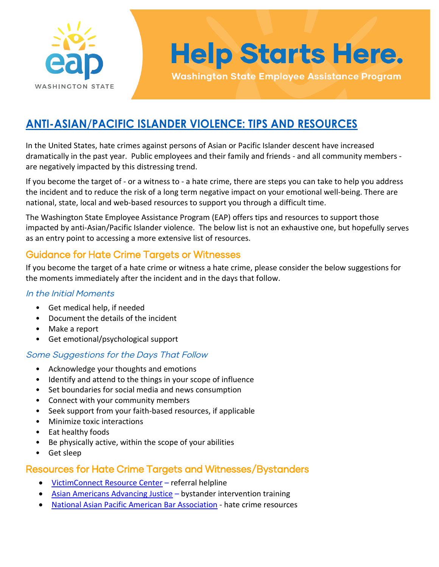

# **Help Starts Here.**

**Washington State Employee Assistance Program** 

### **ANTI-ASIAN/PACIFIC ISLANDER VIOLENCE: TIPS AND RESOURCES**

In the United States, hate crimes against persons of Asian or Pacific Islander descent have increased dramatically in the past year. Public employees and their family and friends - and all community members are negatively impacted by this distressing trend.

If you become the target of - or a witness to - a hate crime, there are steps you can take to help you address the incident and to reduce the risk of a long term negative impact on your emotional well-being. There are national, state, local and web-based resources to support you through a difficult time.

The Washington State Employee Assistance Program (EAP) offers tips and resources to support those impacted by anti-Asian/Pacific Islander violence. The below list is not an exhaustive one, but hopefully serves as an entry point to accessing a more extensive list of resources.

### Guidance for Hate Crime Targets or Witnesses

If you become the target of a hate crime or witness a hate crime, please consider the below suggestions for the moments immediately after the incident and in the days that follow.

#### In the Initial Moments

- Get medical help, if needed
- Document the details of the incident
- Make a report
- Get emotional/psychological support

### Some Suggestions for the Days That Follow

- Acknowledge your thoughts and emotions
- Identify and attend to the things in your scope of influence
- Set boundaries for social media and news consumption
- Connect with your community members
- Seek support from your faith-based resources, if applicable
- Minimize toxic interactions
- Eat healthy foods
- Be physically active, within the scope of your abilities
- Get sleep

### Resources for Hate Crime Targets and Witnesses/Bystanders

- [VictimConnect Resource Center](https://victimconnect.org/about-us/about-our-services/)  referral helpline
- [Asian Americans Advancing Justice](https://www.advancingjustice-aajc.org/events)  bystander intervention training
- [National Asian Pacific American Bar Association](https://www.napaba.org/page/HateCrimeResources)  hate crime resources